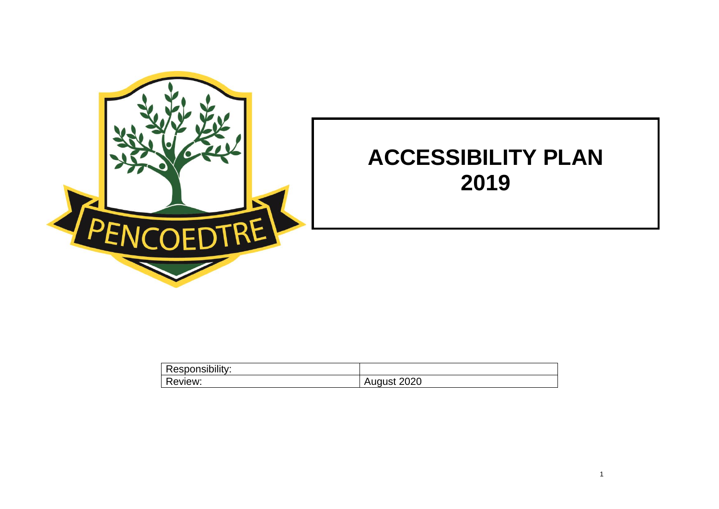

## **ACCESSIBILITY PLAN 2019**

| .<br>Responsibility: |                           |
|----------------------|---------------------------|
| D<br>Review:         | 2020<br>ا ادا الہ ا<br>д. |